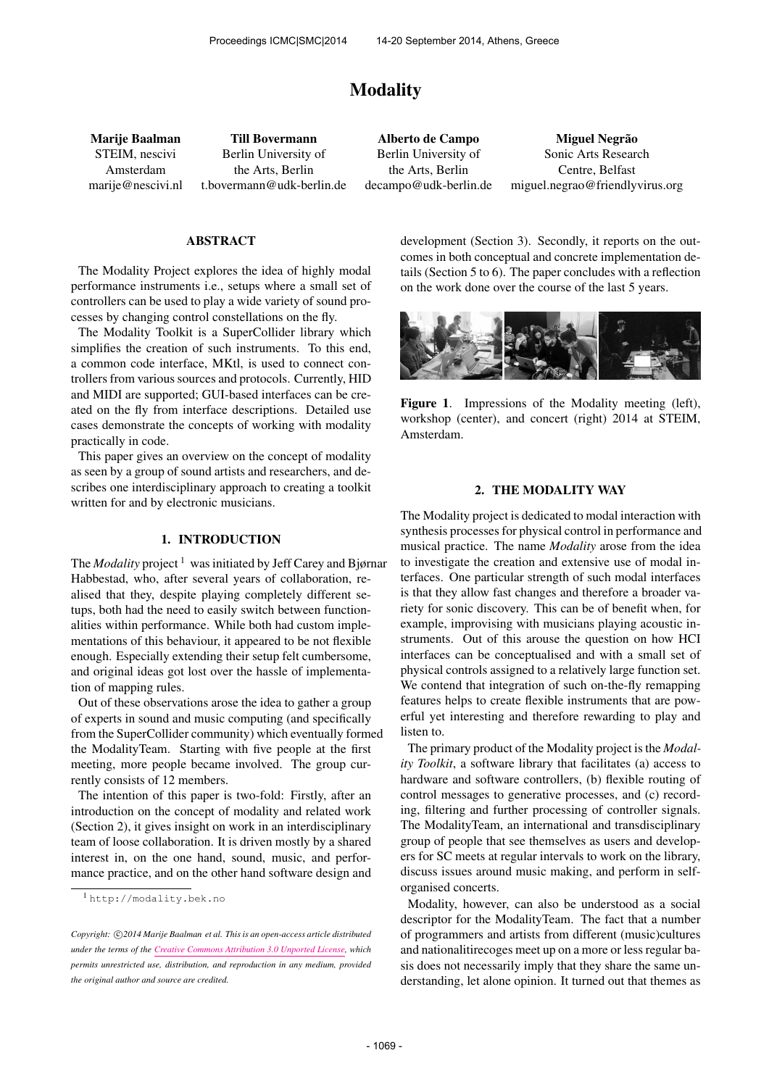# Modality

Marije Baalman STEIM, nescivi Amsterdam [marije@nescivi.nl](mailto:marije@nescivi.nl)

Till Bovermann Berlin University of the Arts, Berlin [t.bovermann@udk-berlin.de](mailto:t.bovermann@udk-berlin.de)

Alberto de Campo Berlin University of the Arts, Berlin [decampo@udk-berlin.de](mailto:decampo@udk-berlin.de)

Miguel Negrão Sonic Arts Research Centre, Belfast [miguel.negrao@friendlyvirus.org](mailto:miguel.negrao@friendlyvirus.org)

#### ABSTRACT

The Modality Project explores the idea of highly modal performance instruments i.e., setups where a small set of controllers can be used to play a wide variety of sound processes by changing control constellations on the fly.

The Modality Toolkit is a SuperCollider library which simplifies the creation of such instruments. To this end, a common code interface, MKtl, is used to connect controllers from various sources and protocols. Currently, HID and MIDI are supported; GUI-based interfaces can be created on the fly from interface descriptions. Detailed use cases demonstrate the concepts of working with modality practically in code.

This paper gives an overview on the concept of modality as seen by a group of sound artists and researchers, and describes one interdisciplinary approach to creating a toolkit written for and by electronic musicians.

#### 1. INTRODUCTION

The *Modality* project<sup>1</sup> was initiated by Jeff Carey and Bjørnar Habbestad, who, after several years of collaboration, realised that they, despite playing completely different setups, both had the need to easily switch between functionalities within performance. While both had custom implementations of this behaviour, it appeared to be not flexible enough. Especially extending their setup felt cumbersome, and original ideas got lost over the hassle of implementation of mapping rules.

Out of these observations arose the idea to gather a group of experts in sound and music computing (and specifically from the SuperCollider community) which eventually formed the ModalityTeam. Starting with five people at the first meeting, more people became involved. The group currently consists of 12 members.

The intention of this paper is two-fold: Firstly, after an introduction on the concept of modality and related work (Section 2), it gives insight on work in an interdisciplinary team of loose collaboration. It is driven mostly by a shared interest in, on the one hand, sound, music, and performance practice, and on the other hand software design and development (Section 3). Secondly, it reports on the outcomes in both conceptual and concrete implementation details (Section 5 to 6). The paper concludes with a reflection on the work done over the course of the last 5 years.



Figure 1. Impressions of the Modality meeting (left), workshop (center), and concert (right) 2014 at STEIM, Amsterdam.

### 2. THE MODALITY WAY

The Modality project is dedicated to modal interaction with synthesis processes for physical control in performance and musical practice. The name *Modality* arose from the idea to investigate the creation and extensive use of modal interfaces. One particular strength of such modal interfaces is that they allow fast changes and therefore a broader variety for sonic discovery. This can be of benefit when, for example, improvising with musicians playing acoustic instruments. Out of this arouse the question on how HCI interfaces can be conceptualised and with a small set of physical controls assigned to a relatively large function set. We contend that integration of such on-the-fly remapping features helps to create flexible instruments that are powerful yet interesting and therefore rewarding to play and listen to.

The primary product of the Modality project is the *Modality Toolkit*, a software library that facilitates (a) access to hardware and software controllers, (b) flexible routing of control messages to generative processes, and (c) recording, filtering and further processing of controller signals. The ModalityTeam, an international and transdisciplinary group of people that see themselves as users and developers for SC meets at regular intervals to work on the library, discuss issues around music making, and perform in selforganised concerts.

Modality, however, can also be understood as a social descriptor for the ModalityTeam. The fact that a number of programmers and artists from different (music)cultures and nationalitirecoges meet up on a more or less regular basis does not necessarily imply that they share the same understanding, let alone opinion. It turned out that themes as

<sup>1</sup> <http://modality.bek.no>

Copyright:  $\bigcirc$ 2014 Marije Baalman et al. This is an open-access article distributed *under the terms of the [Creative Commons Attribution 3.0 Unported License,](http://creativecommons.org/licenses/by/3.0/) which permits unrestricted use, distribution, and reproduction in any medium, provided the original author and source are credited.*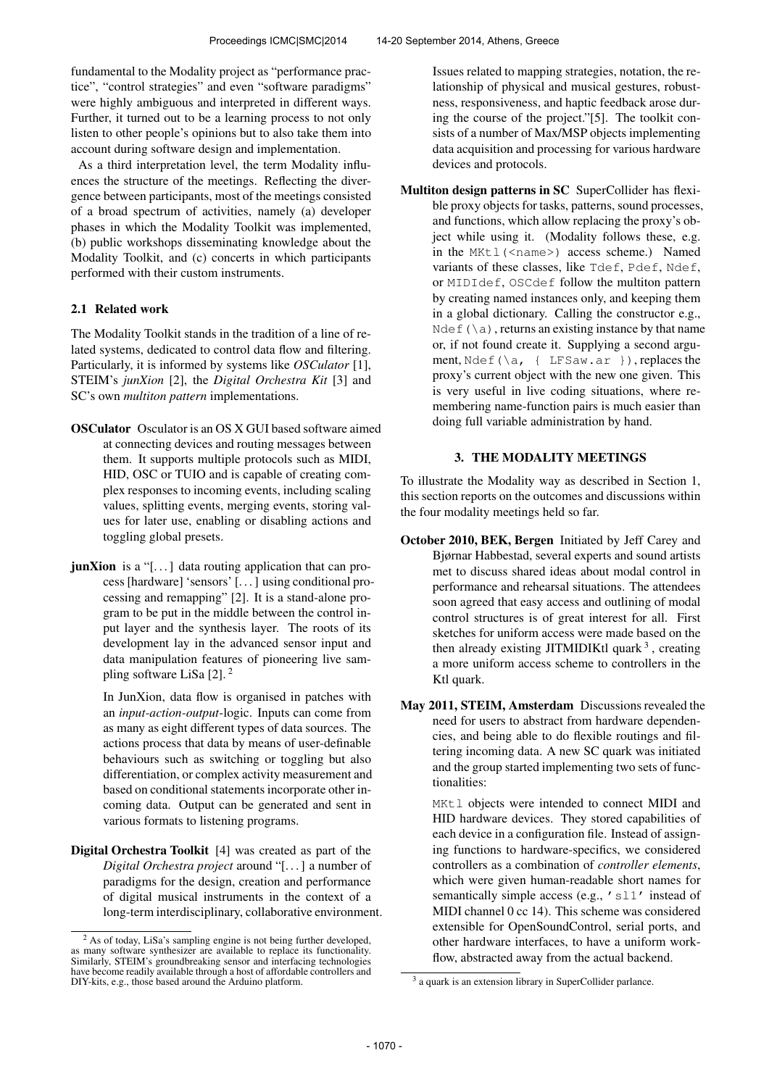fundamental to the Modality project as "performance practice", "control strategies" and even "software paradigms" were highly ambiguous and interpreted in different ways. Further, it turned out to be a learning process to not only listen to other people's opinions but to also take them into account during software design and implementation.

As a third interpretation level, the term Modality influences the structure of the meetings. Reflecting the divergence between participants, most of the meetings consisted of a broad spectrum of activities, namely (a) developer phases in which the Modality Toolkit was implemented, (b) public workshops disseminating knowledge about the Modality Toolkit, and (c) concerts in which participants performed with their custom instruments.

# 2.1 Related work

The Modality Toolkit stands in the tradition of a line of related systems, dedicated to control data flow and filtering. Particularly, it is informed by systems like *OSCulator* [1], STEIM's *junXion* [2], the *Digital Orchestra Kit* [3] and SC's own *multiton pattern* implementations.

- OSCulator Osculator is an OS X GUI based software aimed at connecting devices and routing messages between them. It supports multiple protocols such as MIDI, HID, OSC or TUIO and is capable of creating complex responses to incoming events, including scaling values, splitting events, merging events, storing values for later use, enabling or disabling actions and toggling global presets.
- junXion is a "[...] data routing application that can process [hardware] 'sensors' [. . . ] using conditional processing and remapping" [2]. It is a stand-alone program to be put in the middle between the control input layer and the synthesis layer. The roots of its development lay in the advanced sensor input and data manipulation features of pioneering live sampling software LiSa [2]. <sup>2</sup>

In JunXion, data flow is organised in patches with an *input-action-output*-logic. Inputs can come from as many as eight different types of data sources. The actions process that data by means of user-definable behaviours such as switching or toggling but also differentiation, or complex activity measurement and based on conditional statements incorporate other incoming data. Output can be generated and sent in various formats to listening programs.

Digital Orchestra Toolkit [4] was created as part of the *Digital Orchestra project* around "[. . . ] a number of paradigms for the design, creation and performance of digital musical instruments in the context of a long-term interdisciplinary, collaborative environment. Issues related to mapping strategies, notation, the relationship of physical and musical gestures, robustness, responsiveness, and haptic feedback arose during the course of the project."[5]. The toolkit consists of a number of Max/MSP objects implementing data acquisition and processing for various hardware devices and protocols.

Multiton design patterns in SC SuperCollider has flexible proxy objects for tasks, patterns, sound processes, and functions, which allow replacing the proxy's object while using it. (Modality follows these, e.g. in the MKtl (<name>) access scheme.) Named variants of these classes, like Tdef, Pdef, Ndef, or MIDIdef, OSCdef follow the multiton pattern by creating named instances only, and keeping them in a global dictionary. Calling the constructor e.g.,  $N \cdot \text{det}(\lambda a)$ , returns an existing instance by that name or, if not found create it. Supplying a second argument, Ndef(\a, { LFSaw.ar }), replaces the proxy's current object with the new one given. This is very useful in live coding situations, where remembering name-function pairs is much easier than doing full variable administration by hand.

## 3. THE MODALITY MEETINGS

To illustrate the Modality way as described in Section 1, this section reports on the outcomes and discussions within the four modality meetings held so far.

- October 2010, BEK, Bergen Initiated by Jeff Carey and Bjørnar Habbestad, several experts and sound artists met to discuss shared ideas about modal control in performance and rehearsal situations. The attendees soon agreed that easy access and outlining of modal control structures is of great interest for all. First sketches for uniform access were made based on the then already existing JITMIDIKtl quark<sup>3</sup>, creating a more uniform access scheme to controllers in the Ktl quark.
- May 2011, STEIM, Amsterdam Discussions revealed the need for users to abstract from hardware dependencies, and being able to do flexible routings and filtering incoming data. A new SC quark was initiated and the group started implementing two sets of functionalities:

MKtl objects were intended to connect MIDI and HID hardware devices. They stored capabilities of each device in a configuration file. Instead of assigning functions to hardware-specifics, we considered controllers as a combination of *controller elements*, which were given human-readable short names for semantically simple access (e.g., 'sl1' instead of MIDI channel 0 cc 14). This scheme was considered extensible for OpenSoundControl, serial ports, and other hardware interfaces, to have a uniform workflow, abstracted away from the actual backend.

<sup>&</sup>lt;sup>2</sup> As of today, LiSa's sampling engine is not being further developed, as many software synthesizer are available to replace its functionality. Similarly, STEIM's groundbreaking sensor and interfacing technologies have become readily available through a host of affordable controllers and DIY-kits, e.g., those based around the Arduino platform.

<sup>&</sup>lt;sup>3</sup> a quark is an extension library in SuperCollider parlance.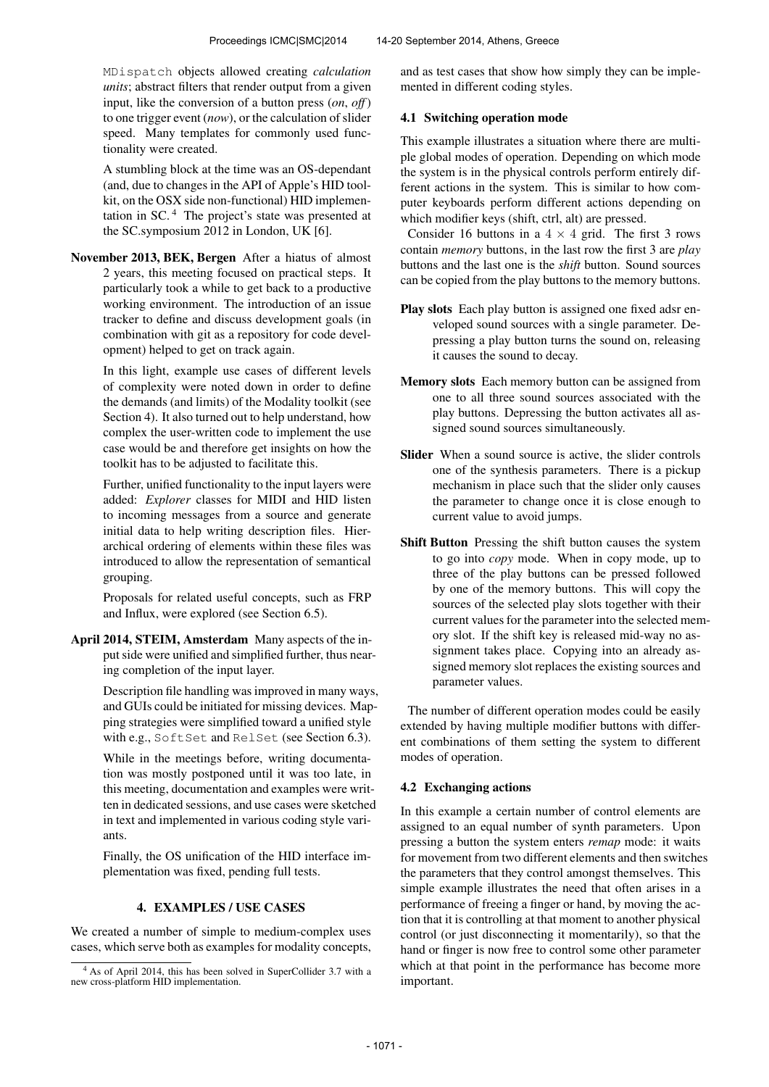MDispatch objects allowed creating *calculation units*; abstract filters that render output from a given input, like the conversion of a button press (*on*, *off*) to one trigger event (*now*), or the calculation of slider speed. Many templates for commonly used functionality were created.

A stumbling block at the time was an OS-dependant (and, due to changes in the API of Apple's HID toolkit, on the OSX side non-functional) HID implementation in SC. <sup>4</sup> The project's state was presented at the SC.symposium 2012 in London, UK [6].

November 2013, BEK, Bergen After a hiatus of almost 2 years, this meeting focused on practical steps. It particularly took a while to get back to a productive working environment. The introduction of an issue tracker to define and discuss development goals (in combination with git as a repository for code development) helped to get on track again.

> In this light, example use cases of different levels of complexity were noted down in order to define the demands (and limits) of the Modality toolkit (see Section 4). It also turned out to help understand, how complex the user-written code to implement the use case would be and therefore get insights on how the toolkit has to be adjusted to facilitate this.

> Further, unified functionality to the input layers were added: *Explorer* classes for MIDI and HID listen to incoming messages from a source and generate initial data to help writing description files. Hierarchical ordering of elements within these files was introduced to allow the representation of semantical grouping.

> Proposals for related useful concepts, such as FRP and Influx, were explored (see Section 6.5).

April 2014, STEIM, Amsterdam Many aspects of the input side were unified and simplified further, thus nearing completion of the input layer.

> Description file handling was improved in many ways, and GUIs could be initiated for missing devices. Mapping strategies were simplified toward a unified style with e.g., SoftSet and RelSet (see Section 6.3).

> While in the meetings before, writing documentation was mostly postponed until it was too late, in this meeting, documentation and examples were written in dedicated sessions, and use cases were sketched in text and implemented in various coding style variants.

Finally, the OS unification of the HID interface implementation was fixed, pending full tests.

#### 4. EXAMPLES / USE CASES

We created a number of simple to medium-complex uses cases, which serve both as examples for modality concepts, and as test cases that show how simply they can be implemented in different coding styles.

#### 4.1 Switching operation mode

This example illustrates a situation where there are multiple global modes of operation. Depending on which mode the system is in the physical controls perform entirely different actions in the system. This is similar to how computer keyboards perform different actions depending on which modifier keys (shift, ctrl, alt) are pressed.

Consider 16 buttons in a  $4 \times 4$  grid. The first 3 rows contain *memory* buttons, in the last row the first 3 are *play* buttons and the last one is the *shift* button. Sound sources can be copied from the play buttons to the memory buttons.

- Play slots Each play button is assigned one fixed adsr enveloped sound sources with a single parameter. Depressing a play button turns the sound on, releasing it causes the sound to decay.
- Memory slots Each memory button can be assigned from one to all three sound sources associated with the play buttons. Depressing the button activates all assigned sound sources simultaneously.
- Slider When a sound source is active, the slider controls one of the synthesis parameters. There is a pickup mechanism in place such that the slider only causes the parameter to change once it is close enough to current value to avoid jumps.
- Shift Button Pressing the shift button causes the system to go into *copy* mode. When in copy mode, up to three of the play buttons can be pressed followed by one of the memory buttons. This will copy the sources of the selected play slots together with their current values for the parameter into the selected memory slot. If the shift key is released mid-way no assignment takes place. Copying into an already assigned memory slot replaces the existing sources and parameter values.

The number of different operation modes could be easily extended by having multiple modifier buttons with different combinations of them setting the system to different modes of operation.

# 4.2 Exchanging actions

In this example a certain number of control elements are assigned to an equal number of synth parameters. Upon pressing a button the system enters *remap* mode: it waits for movement from two different elements and then switches the parameters that they control amongst themselves. This simple example illustrates the need that often arises in a performance of freeing a finger or hand, by moving the action that it is controlling at that moment to another physical control (or just disconnecting it momentarily), so that the hand or finger is now free to control some other parameter which at that point in the performance has become more important.

<sup>4</sup> As of April 2014, this has been solved in SuperCollider 3.7 with a new cross-platform HID implementation.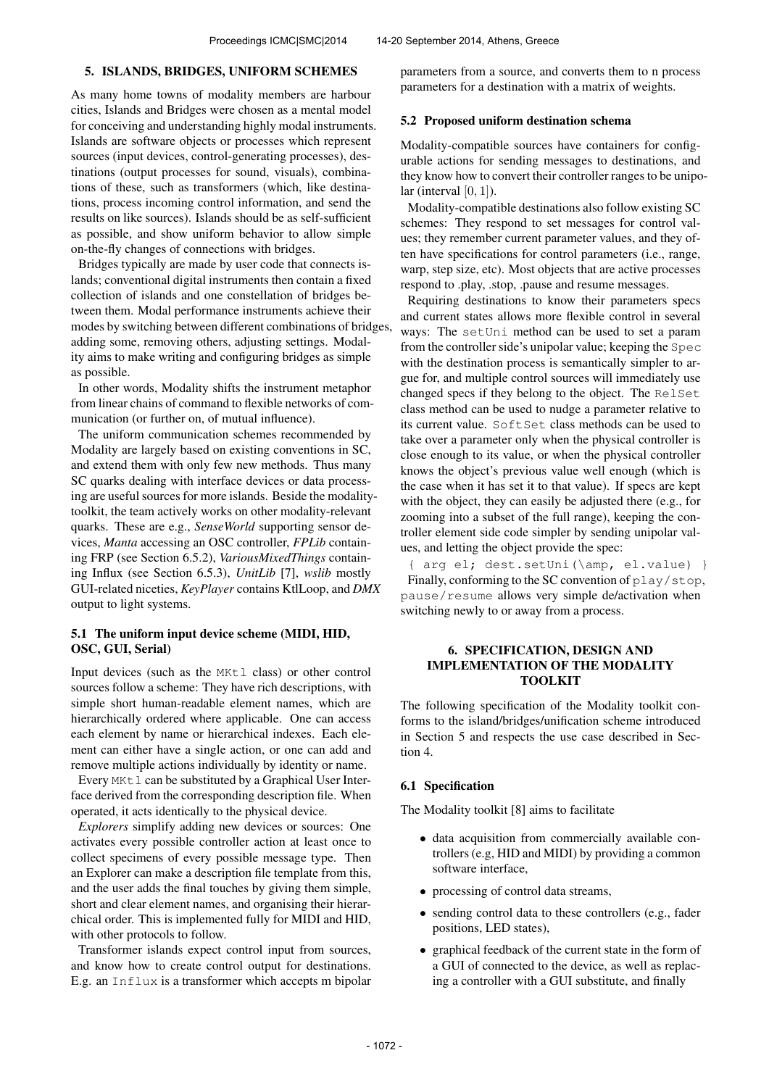#### 5. ISLANDS, BRIDGES, UNIFORM SCHEMES

As many home towns of modality members are harbour cities, Islands and Bridges were chosen as a mental model for conceiving and understanding highly modal instruments. Islands are software objects or processes which represent sources (input devices, control-generating processes), destinations (output processes for sound, visuals), combinations of these, such as transformers (which, like destinations, process incoming control information, and send the results on like sources). Islands should be as self-sufficient as possible, and show uniform behavior to allow simple on-the-fly changes of connections with bridges.

Bridges typically are made by user code that connects islands; conventional digital instruments then contain a fixed collection of islands and one constellation of bridges between them. Modal performance instruments achieve their modes by switching between different combinations of bridges, adding some, removing others, adjusting settings. Modality aims to make writing and configuring bridges as simple as possible.

In other words, Modality shifts the instrument metaphor from linear chains of command to flexible networks of communication (or further on, of mutual influence).

The uniform communication schemes recommended by Modality are largely based on existing conventions in SC, and extend them with only few new methods. Thus many SC quarks dealing with interface devices or data processing are useful sources for more islands. Beside the modalitytoolkit, the team actively works on other modality-relevant quarks. These are e.g., *SenseWorld* supporting sensor devices, *Manta* accessing an OSC controller, *FPLib* containing FRP (see Section 6.5.2), *VariousMixedThings* containing Influx (see Section 6.5.3), *UnitLib* [7], *wslib* mostly GUI-related niceties, *KeyPlayer* contains KtlLoop, and *DMX* output to light systems.

# 5.1 The uniform input device scheme (MIDI, HID, OSC, GUI, Serial)

Input devices (such as the MKtl class) or other control sources follow a scheme: They have rich descriptions, with simple short human-readable element names, which are hierarchically ordered where applicable. One can access each element by name or hierarchical indexes. Each element can either have a single action, or one can add and remove multiple actions individually by identity or name.

Every MKtl can be substituted by a Graphical User Interface derived from the corresponding description file. When operated, it acts identically to the physical device.

*Explorers* simplify adding new devices or sources: One activates every possible controller action at least once to collect specimens of every possible message type. Then an Explorer can make a description file template from this, and the user adds the final touches by giving them simple, short and clear element names, and organising their hierarchical order. This is implemented fully for MIDI and HID, with other protocols to follow.

Transformer islands expect control input from sources, and know how to create control output for destinations. E.g. an Influx is a transformer which accepts m bipolar parameters from a source, and converts them to n process parameters for a destination with a matrix of weights.

# 5.2 Proposed uniform destination schema

Modality-compatible sources have containers for configurable actions for sending messages to destinations, and they know how to convert their controller ranges to be unipolar (interval  $[0, 1]$ ).

Modality-compatible destinations also follow existing SC schemes: They respond to set messages for control values; they remember current parameter values, and they often have specifications for control parameters (i.e., range, warp, step size, etc). Most objects that are active processes respond to .play, .stop, .pause and resume messages.

Requiring destinations to know their parameters specs and current states allows more flexible control in several ways: The setUni method can be used to set a param from the controller side's unipolar value; keeping the Spec with the destination process is semantically simpler to argue for, and multiple control sources will immediately use changed specs if they belong to the object. The RelSet class method can be used to nudge a parameter relative to its current value. SoftSet class methods can be used to take over a parameter only when the physical controller is close enough to its value, or when the physical controller knows the object's previous value well enough (which is the case when it has set it to that value). If specs are kept with the object, they can easily be adjusted there (e.g., for zooming into a subset of the full range), keeping the controller element side code simpler by sending unipolar values, and letting the object provide the spec:

{ arg el; dest.setUni(\amp, el.value) } Finally, conforming to the SC convention of play/stop, pause/resume allows very simple de/activation when switching newly to or away from a process.

# 6. SPECIFICATION, DESIGN AND IMPLEMENTATION OF THE MODALITY TOOLKIT

The following specification of the Modality toolkit conforms to the island/bridges/unification scheme introduced in Section 5 and respects the use case described in Section 4.

#### 6.1 Specification

The Modality toolkit [8] aims to facilitate

- data acquisition from commercially available controllers (e.g, HID and MIDI) by providing a common software interface,
- processing of control data streams,
- sending control data to these controllers (e.g., fader positions, LED states),
- graphical feedback of the current state in the form of a GUI of connected to the device, as well as replacing a controller with a GUI substitute, and finally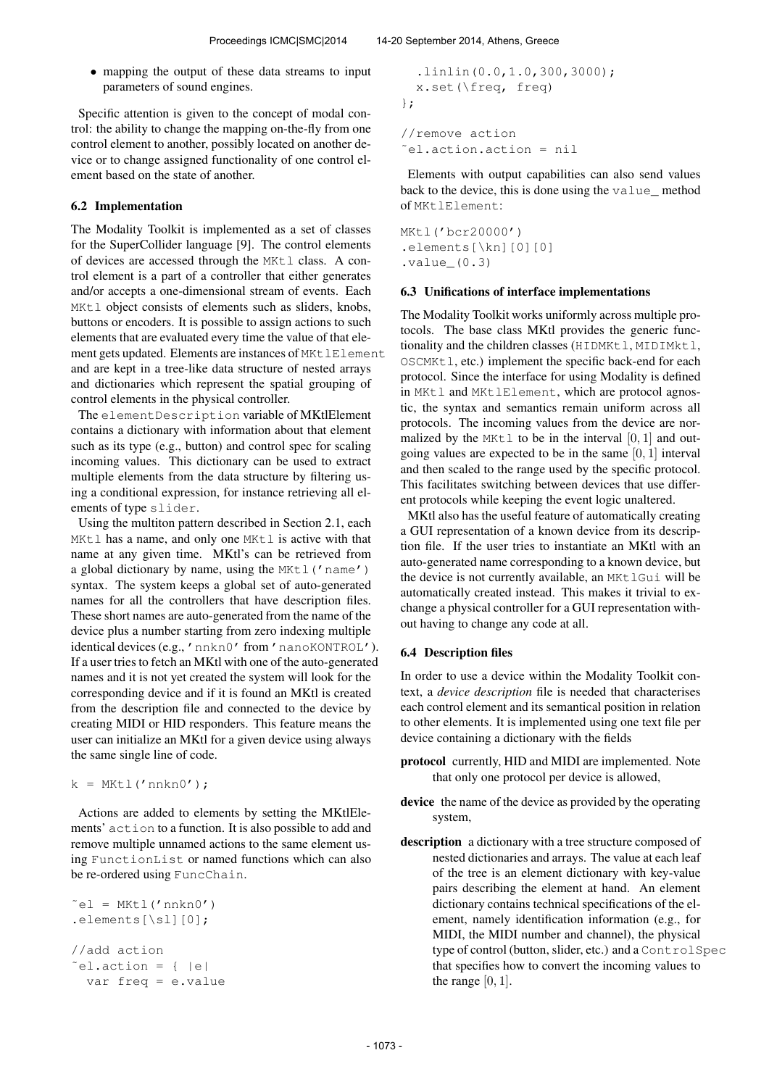• mapping the output of these data streams to input parameters of sound engines.

Specific attention is given to the concept of modal control: the ability to change the mapping on-the-fly from one control element to another, possibly located on another device or to change assigned functionality of one control element based on the state of another.

## 6.2 Implementation

The Modality Toolkit is implemented as a set of classes for the SuperCollider language [9]. The control elements of devices are accessed through the MKtl class. A control element is a part of a controller that either generates and/or accepts a one-dimensional stream of events. Each MKtl object consists of elements such as sliders, knobs, buttons or encoders. It is possible to assign actions to such elements that are evaluated every time the value of that element gets updated. Elements are instances of MKtlElement and are kept in a tree-like data structure of nested arrays and dictionaries which represent the spatial grouping of control elements in the physical controller.

The elementDescription variable of MKtlElement contains a dictionary with information about that element such as its type (e.g., button) and control spec for scaling incoming values. This dictionary can be used to extract multiple elements from the data structure by filtering using a conditional expression, for instance retrieving all elements of type slider.

Using the multiton pattern described in Section 2.1, each MKtl has a name, and only one MKtl is active with that name at any given time. MKtl's can be retrieved from a global dictionary by name, using the MKtl ('name') syntax. The system keeps a global set of auto-generated names for all the controllers that have description files. These short names are auto-generated from the name of the device plus a number starting from zero indexing multiple identical devices (e.g., 'nnkn0' from 'nanoKONTROL'). If a user tries to fetch an MKtl with one of the auto-generated names and it is not yet created the system will look for the corresponding device and if it is found an MKtl is created from the description file and connected to the device by creating MIDI or HID responders. This feature means the user can initialize an MKtl for a given device using always the same single line of code.

 $k = MKL('nnkn0');$ 

Actions are added to elements by setting the MKtlElements' action to a function. It is also possible to add and remove multiple unnamed actions to the same element using FunctionList or named functions which can also be re-ordered using FuncChain.

```
\tilde{e} = MKtl('nnkn0')
.elements[\sl][0];
//add action
\tilde{=}el.action = { |e|var freq = e.value
```

```
.linlin(0.0,1.0,300,3000);
  x.set(\freq, freq)
};
//remove action
˜el.action.action = nil
```
Elements with output capabilities can also send values back to the device, this is done using the value\_ method of MKtlElement:

```
MKtl('bcr20000')
.elements[\kn][0][0]
.value_(0.3)
```
## 6.3 Unifications of interface implementations

The Modality Toolkit works uniformly across multiple protocols. The base class MKtl provides the generic functionality and the children classes (HIDMKtl, MIDIMktl, OSCMKtl, etc.) implement the specific back-end for each protocol. Since the interface for using Modality is defined in MKtl and MKtlElement, which are protocol agnostic, the syntax and semantics remain uniform across all protocols. The incoming values from the device are normalized by the MK $t$ l to be in the interval  $[0, 1]$  and outgoing values are expected to be in the same  $[0, 1]$  interval and then scaled to the range used by the specific protocol. This facilitates switching between devices that use different protocols while keeping the event logic unaltered.

MKtl also has the useful feature of automatically creating a GUI representation of a known device from its description file. If the user tries to instantiate an MKtl with an auto-generated name corresponding to a known device, but the device is not currently available, an MKtlGui will be automatically created instead. This makes it trivial to exchange a physical controller for a GUI representation without having to change any code at all.

# 6.4 Description files

In order to use a device within the Modality Toolkit context, a *device description* file is needed that characterises each control element and its semantical position in relation to other elements. It is implemented using one text file per device containing a dictionary with the fields

- protocol currently, HID and MIDI are implemented. Note that only one protocol per device is allowed,
- device the name of the device as provided by the operating system,
- description a dictionary with a tree structure composed of nested dictionaries and arrays. The value at each leaf of the tree is an element dictionary with key-value pairs describing the element at hand. An element dictionary contains technical specifications of the element, namely identification information (e.g., for MIDI, the MIDI number and channel), the physical type of control (button, slider, etc.) and a ControlSpec that specifies how to convert the incoming values to the range  $[0, 1]$ .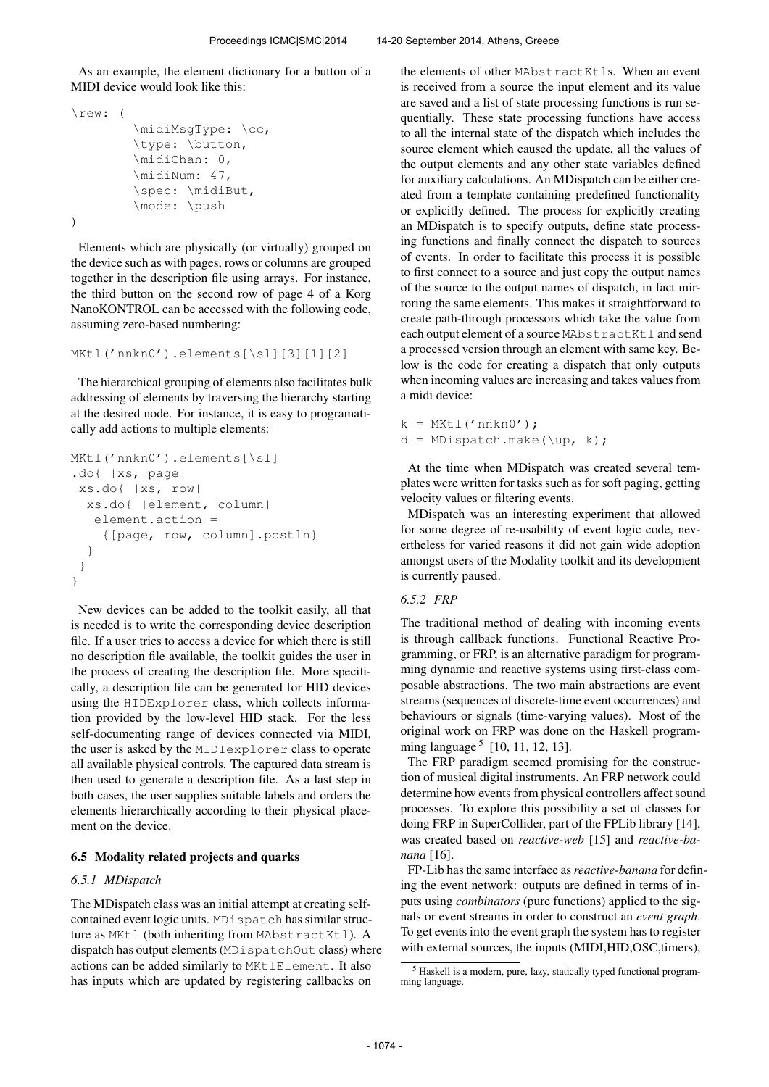As an example, the element dictionary for a button of a MIDI device would look like this:

```
\rew: (
        \midiMsgType: \cc,
        \type: \button,
        \midiChan: 0,
        \midiNum: 47,
        \spec: \midiBut,
        \mode: \push
)
```
Elements which are physically (or virtually) grouped on the device such as with pages, rows or columns are grouped together in the description file using arrays. For instance, the third button on the second row of page 4 of a Korg NanoKONTROL can be accessed with the following code, assuming zero-based numbering:

```
MKtl('nnkn0').elements[\sl][3][1][2]
```
The hierarchical grouping of elements also facilitates bulk addressing of elements by traversing the hierarchy starting at the desired node. For instance, it is easy to programatically add actions to multiple elements:

```
MKtl('nnkn0').elements[\sl]
.do{ |xs, page|
xs.do{ |xs, row|
  xs.do{ |element, column|
   element.action =
    {[page, row, column].postln}
  }
 }
}
```
New devices can be added to the toolkit easily, all that is needed is to write the corresponding device description file. If a user tries to access a device for which there is still no description file available, the toolkit guides the user in the process of creating the description file. More specifically, a description file can be generated for HID devices using the HIDExplorer class, which collects information provided by the low-level HID stack. For the less self-documenting range of devices connected via MIDI, the user is asked by the MIDIexplorer class to operate all available physical controls. The captured data stream is then used to generate a description file. As a last step in both cases, the user supplies suitable labels and orders the elements hierarchically according to their physical placement on the device.

## 6.5 Modality related projects and quarks

#### *6.5.1 MDispatch*

The MDispatch class was an initial attempt at creating selfcontained event logic units. MDispatch has similar structure as MKtl (both inheriting from MAbstractKtl). A dispatch has output elements (MDispatchOut class) where actions can be added similarly to MKtlElement. It also has inputs which are updated by registering callbacks on

the elements of other MAbstractKtls. When an event is received from a source the input element and its value are saved and a list of state processing functions is run sequentially. These state processing functions have access to all the internal state of the dispatch which includes the source element which caused the update, all the values of the output elements and any other state variables defined for auxiliary calculations. An MDispatch can be either created from a template containing predefined functionality or explicitly defined. The process for explicitly creating an MDispatch is to specify outputs, define state processing functions and finally connect the dispatch to sources of events. In order to facilitate this process it is possible to first connect to a source and just copy the output names of the source to the output names of dispatch, in fact mirroring the same elements. This makes it straightforward to create path-through processors which take the value from each output element of a source MAbstractKtl and send a processed version through an element with same key. Below is the code for creating a dispatch that only outputs when incoming values are increasing and takes values from a midi device:

 $k = MKL('nnkn0');$  $d = MDispatch.make(\uparrow\uparrow\downarrow)$ ;

At the time when MDispatch was created several templates were written for tasks such as for soft paging, getting velocity values or filtering events.

MDispatch was an interesting experiment that allowed for some degree of re-usability of event logic code, nevertheless for varied reasons it did not gain wide adoption amongst users of the Modality toolkit and its development is currently paused.

## *6.5.2 FRP*

The traditional method of dealing with incoming events is through callback functions. Functional Reactive Programming, or FRP, is an alternative paradigm for programming dynamic and reactive systems using first-class composable abstractions. The two main abstractions are event streams (sequences of discrete-time event occurrences) and behaviours or signals (time-varying values). Most of the original work on FRP was done on the Haskell programming language<sup>5</sup> [10, 11, 12, 13].

The FRP paradigm seemed promising for the construction of musical digital instruments. An FRP network could determine how events from physical controllers affect sound processes. To explore this possibility a set of classes for doing FRP in SuperCollider, part of the FPLib library [14], was created based on *reactive-web* [15] and *reactive-banana* [16].

FP-Lib has the same interface as*reactive-banana* for defining the event network: outputs are defined in terms of inputs using *combinators* (pure functions) applied to the signals or event streams in order to construct an *event graph*. To get events into the event graph the system has to register with external sources, the inputs (MIDI, HID, OSC, timers),

<sup>5</sup> Haskell is a modern, pure, lazy, statically typed functional programming language.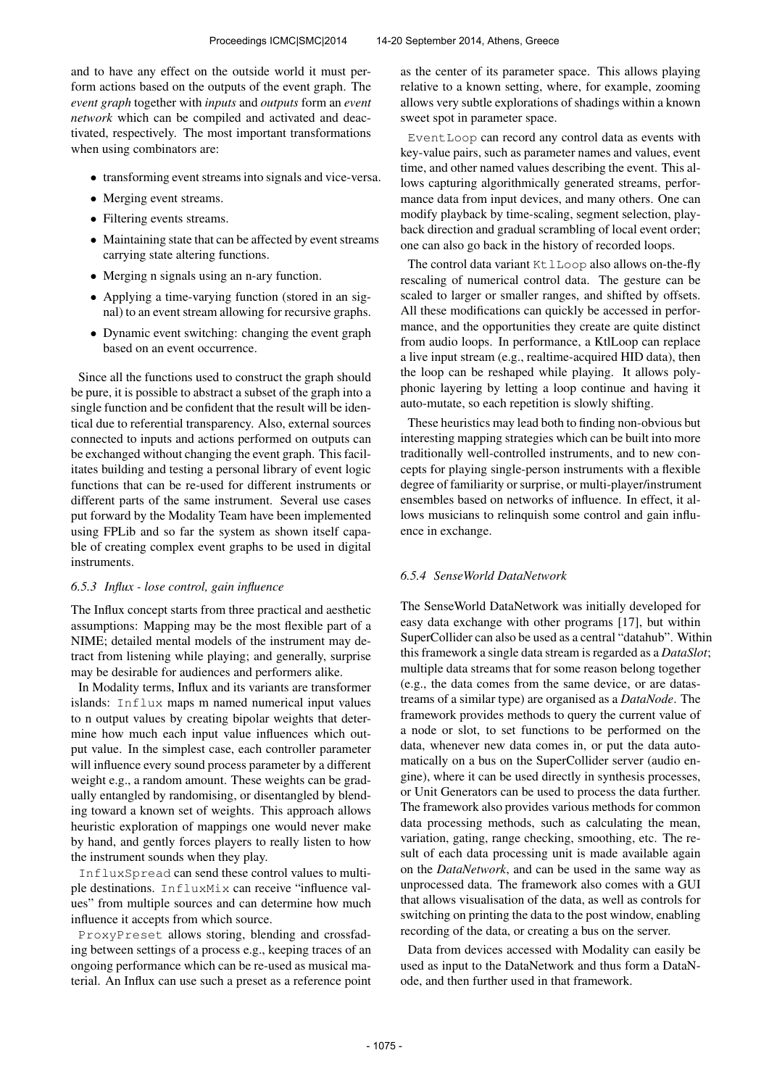and to have any effect on the outside world it must perform actions based on the outputs of the event graph. The *event graph* together with *inputs* and *outputs* form an *event network* which can be compiled and activated and deactivated, respectively. The most important transformations when using combinators are:

- transforming event streams into signals and vice-versa.
- Merging event streams.
- Filtering events streams.
- Maintaining state that can be affected by event streams carrying state altering functions.
- Merging n signals using an n-ary function.
- Applying a time-varying function (stored in an signal) to an event stream allowing for recursive graphs.
- Dynamic event switching: changing the event graph based on an event occurrence.

Since all the functions used to construct the graph should be pure, it is possible to abstract a subset of the graph into a single function and be confident that the result will be identical due to referential transparency. Also, external sources connected to inputs and actions performed on outputs can be exchanged without changing the event graph. This facilitates building and testing a personal library of event logic functions that can be re-used for different instruments or different parts of the same instrument. Several use cases put forward by the Modality Team have been implemented using FPLib and so far the system as shown itself capable of creating complex event graphs to be used in digital instruments.

#### *6.5.3 Influx - lose control, gain influence*

The Influx concept starts from three practical and aesthetic assumptions: Mapping may be the most flexible part of a NIME; detailed mental models of the instrument may detract from listening while playing; and generally, surprise may be desirable for audiences and performers alike.

In Modality terms, Influx and its variants are transformer islands: Influx maps m named numerical input values to n output values by creating bipolar weights that determine how much each input value influences which output value. In the simplest case, each controller parameter will influence every sound process parameter by a different weight e.g., a random amount. These weights can be gradually entangled by randomising, or disentangled by blending toward a known set of weights. This approach allows heuristic exploration of mappings one would never make by hand, and gently forces players to really listen to how the instrument sounds when they play.

InfluxSpread can send these control values to multiple destinations. InfluxMix can receive "influence values" from multiple sources and can determine how much influence it accepts from which source.

ProxyPreset allows storing, blending and crossfading between settings of a process e.g., keeping traces of an ongoing performance which can be re-used as musical material. An Influx can use such a preset as a reference point as the center of its parameter space. This allows playing relative to a known setting, where, for example, zooming allows very subtle explorations of shadings within a known sweet spot in parameter space.

EventLoop can record any control data as events with key-value pairs, such as parameter names and values, event time, and other named values describing the event. This allows capturing algorithmically generated streams, performance data from input devices, and many others. One can modify playback by time-scaling, segment selection, playback direction and gradual scrambling of local event order; one can also go back in the history of recorded loops.

The control data variant KtlLoop also allows on-the-fly rescaling of numerical control data. The gesture can be scaled to larger or smaller ranges, and shifted by offsets. All these modifications can quickly be accessed in performance, and the opportunities they create are quite distinct from audio loops. In performance, a KtlLoop can replace a live input stream (e.g., realtime-acquired HID data), then the loop can be reshaped while playing. It allows polyphonic layering by letting a loop continue and having it auto-mutate, so each repetition is slowly shifting.

These heuristics may lead both to finding non-obvious but interesting mapping strategies which can be built into more traditionally well-controlled instruments, and to new concepts for playing single-person instruments with a flexible degree of familiarity or surprise, or multi-player/instrument ensembles based on networks of influence. In effect, it allows musicians to relinquish some control and gain influence in exchange.

### *6.5.4 SenseWorld DataNetwork*

The SenseWorld DataNetwork was initially developed for easy data exchange with other programs [17], but within SuperCollider can also be used as a central "datahub". Within this framework a single data stream is regarded as a *DataSlot*; multiple data streams that for some reason belong together (e.g., the data comes from the same device, or are datastreams of a similar type) are organised as a *DataNode*. The framework provides methods to query the current value of a node or slot, to set functions to be performed on the data, whenever new data comes in, or put the data automatically on a bus on the SuperCollider server (audio engine), where it can be used directly in synthesis processes, or Unit Generators can be used to process the data further. The framework also provides various methods for common data processing methods, such as calculating the mean, variation, gating, range checking, smoothing, etc. The result of each data processing unit is made available again on the *DataNetwork*, and can be used in the same way as unprocessed data. The framework also comes with a GUI that allows visualisation of the data, as well as controls for switching on printing the data to the post window, enabling recording of the data, or creating a bus on the server.

Data from devices accessed with Modality can easily be used as input to the DataNetwork and thus form a DataNode, and then further used in that framework.